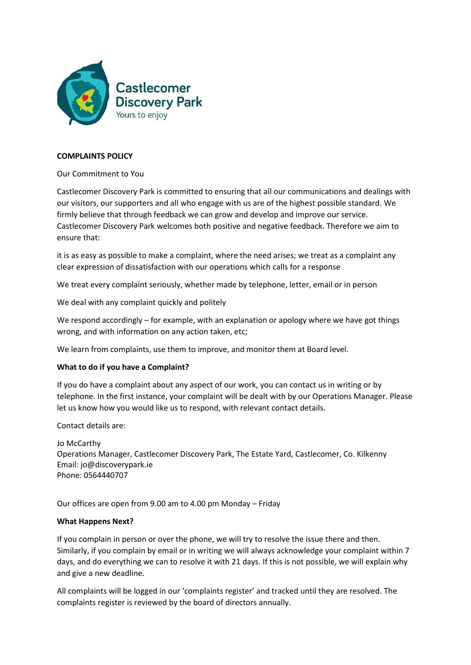

# **COMPLAINTS POLICY**

# Our Commitment to You

Castlecomer Discovery Park is committed to ensuring that all our communications and dealings with our visitors, our supporters and all who engage with us are of the highest possible standard. We firmly believe that through feedback we can grow and develop and improve our service. Castlecomer Discovery Park welcomes both positive and negative feedback. Therefore we aim to ensure that:

it is as easy as possible to make a complaint, where the need arises; we treat as a complaint any clear expression of dissatisfaction with our operations which calls for a response

We treat every complaint seriously, whether made by telephone, letter, email or in person

We deal with any complaint quickly and politely

We respond accordingly – for example, with an explanation or apology where we have got things wrong, and with information on any action taken, etc;

We learn from complaints, use them to improve, and monitor them at Board level.

#### **What to do if you have a Complaint?**

If you do have a complaint about any aspect of our work, you can contact us in writing or by telephone. In the first instance, your complaint will be dealt with by our Operations Manager. Please let us know how you would like us to respond, with relevant contact details.

Contact details are:

Jo McCarthy Operations Manager, Castlecomer Discovery Park, The Estate Yard, Castlecomer, Co. Kilkenny Email: jo@discoverypark.ie Phone: 0564440707

Our offices are open from 9.00 am to 4.00 pm Monday – Friday

#### **What Happens Next?**

If you complain in person or over the phone, we will try to resolve the issue there and then. Similarly, if you complain by email or in writing we will always acknowledge your complaint within 7 days, and do everything we can to resolve it with 21 days. If this is not possible, we will explain why and give a new deadline.

All complaints will be logged in our 'complaints register' and tracked until they are resolved. The complaints register is reviewed by the board of directors annually.